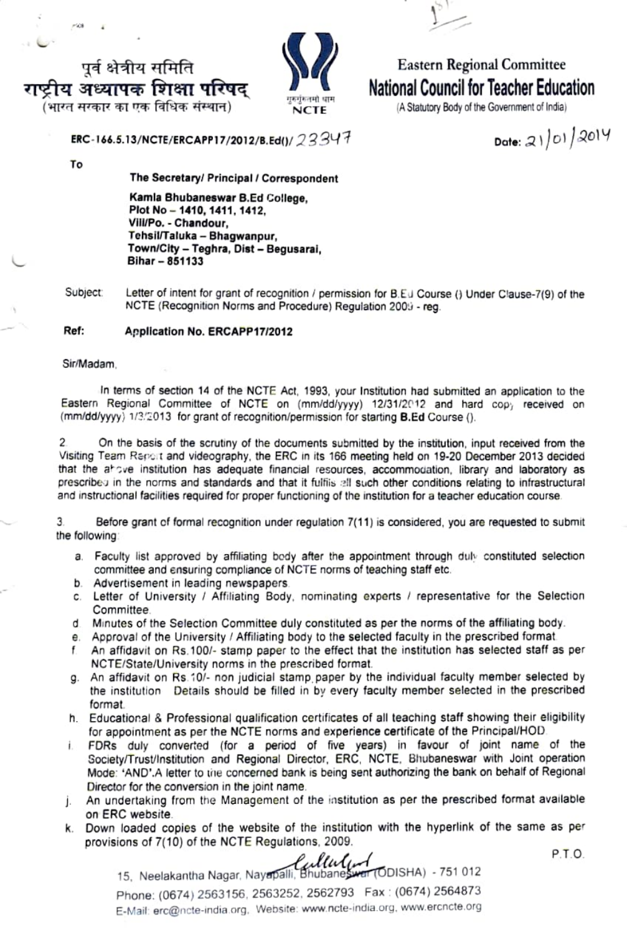



## Eastern Regional Committee National Council for Teacher Education

 $N$  $\Gamma$  E  $\Gamma$  (A Statutory Body of the Government of India)

ERC-166.5.13/NCTE/ERCAPP17/2012/B.Ed()/ 23347 Date: 21/01/2014

पूर्व क्षेत्रीय समिति<br>ष्ट्री**य अध्यापक शिक्षा परिषद** 

(भारत सरकार का एक विधिक संस्थान)

To

 $-768$ 

The Secretary/ Principal/Correspondent

Kamla Bhubaneswar B.Ed College, Plot No-1410, 1411, 1412, VilVPo. Chandour, TehsilTaluka - Bhagwanpur, Town/City - Teghra, Dist - Begusarai, Bihar - 851133

Subject: Letter of intent for grant of recognition / permission for B.Eu Course () Under Clause-7(9) of the NCTE (Recognition Norms and Procedure) Regulation 2009 - reg.

## Ref: Application No. ERCAPP17/2012

Sir/Madam,

In terms of section 14 of the NCTE ACt, 1993, your Institution had submitted an application to the Eastern Regional Committee of NCTE on (mm/dd/yyyy) 12/31/2012 and hard copy received on (mm/dd/yyyy) 1/3/2013 for grant of recognition/permission for starting B.Ed Course ().

 $\overline{2}$ On the basis of the scrutiny of the documents submitted by the institution, input received from the Visiting Team Report and videography, the ERC in its 166 meeting held on 19-20 December 2013 decided that the above institution has adequate financial resources, accommodation, library and laboratory as prescribe in the norms and standards and that it fulfis 2ll such other conditions relating to infrastructural and instructional facilities required for proper functioning of the institution for a teacher education course

3 Before grant of formal recognition under regulation 7(11) is considered, you are requested to submit the following

- a. Faculty list approved by affiliating body after the appointment through duly constituted selection Committee and ensuring compliance of NCTE norms of teaching staff etc.
- b. Advertisement in leading newspapers.
- c. Letter of University / Affiliating Body, nominating experts / representative for the Selection Committee.
- d Minutes of the Selection Committee duly constituted as per the norms of the affiliating body.
- e. Approval of the University / Affiliating body to the selected faculty in the prescribed format
- An affidavit on Rs. 100/- stamp paper to the effect that the institution has selected staff as per NCTE/State/University norms in the prescribed format.
- g. An affidavit on Rs 10/- non judicial stamp paper by the individual faculty member selected by the institution Details should be filled in by every faculty member selected in the prescribed format.
- h. Educational & Professional qualification certificates of all teaching staff showing their eligibility for appointment as per the NCTE norms and experience certificate of the Principal/HOD
- Ĺ. FDRs duly converted (for a period of five years) in favour of joint name of the Society/Trust/lnstitution and Regional Director, ERC, NCTE, Bhubaneswar with Joint operation Mode: 'AND'.A letter to the concerned bank is being sent authorizing the bank on behalf of Regional Director for the conversion in the joint name.
- j. An undertaking from the Management of the institution as per the prescribed format available on ERC website.
- k. Down loaded copies of the website of the institution with the hyperlink of the same as per provisions of 7(10) of the NCTE Regulations, 2009.

P.T.O

15, Neelakantha Nagar, Nayapalli, Bhubaneswer (ODISHA) - 751 012 Phone: (0674) 2563156, 2563252, 2562793 Fax (0674) 2564873 E-Mail erc@ncte-india org. Website: www.ncte-india.org. www.ercncte.org